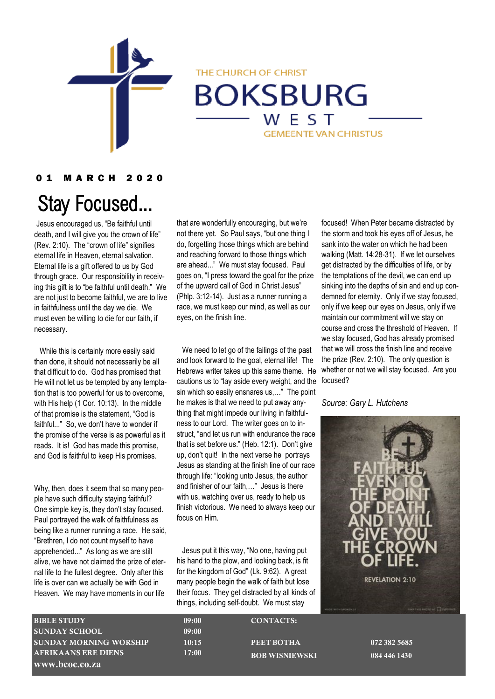

THE CHURCH OF CHRIST

## **BOKSBURG** WEST

**GEMEENTE VAN CHRISTUS** 

#### 0 1 M A R C H 2 0 2 0

# Stay Focused...

Jesus encouraged us, "Be faithful until death, and I will give you the crown of life" (Rev. 2:10). The "crown of life" signifies eternal life in Heaven, eternal salvation. Eternal life is a gift offered to us by God through grace. Our responsibility in receiving this gift is to "be faithful until death." We are not just to become faithful, we are to live in faithfulness until the day we die. We must even be willing to die for our faith, if necessary.

While this is certainly more easily said than done, it should not necessarily be all that difficult to do. God has promised that He will not let us be tempted by any temptation that is too powerful for us to overcome, with His help (1 Cor. 10:13). In the middle of that promise is the statement, "God is faithful..." So, we don't have to wonder if the promise of the verse is as powerful as it reads. It is! God has made this promise, and God is faithful to keep His promises.

Why, then, does it seem that so many people have such difficulty staying faithful? One simple key is, they don't stay focused. Paul portrayed the walk of faithfulness as being like a runner running a race. He said, "Brethren, I do not count myself to have apprehended..." As long as we are still alive, we have not claimed the prize of eternal life to the fullest degree. Only after this life is over can we actually be with God in Heaven. We may have moments in our life

that are wonderfully encouraging, but we're not there yet. So Paul says, "but one thing I do, forgetting those things which are behind and reaching forward to those things which are ahead..." We must stay focused. Paul goes on, "I press toward the goal for the prize of the upward call of God in Christ Jesus" (Phlp. 3:12-14). Just as a runner running a race, we must keep our mind, as well as our eyes, on the finish line.

 We need to let go of the failings of the past and look forward to the goal, eternal life! The Hebrews writer takes up this same theme. He cautions us to "lay aside every weight, and the sin which so easily ensnares us,…" The point he makes is that we need to put away anything that might impede our living in faithfulness to our Lord. The writer goes on to instruct, "and let us run with endurance the race that is set before us." (Heb. 12:1). Don't give up, don't quit! In the next verse he portrays Jesus as standing at the finish line of our race through life: "looking unto Jesus, the author and finisher of our faith,…" Jesus is there with us, watching over us, ready to help us finish victorious. We need to always keep our focus on Him.

 Jesus put it this way, "No one, having put his hand to the plow, and looking back, is fit for the kingdom of God" (Lk. 9:62). A great many people begin the walk of faith but lose their focus. They get distracted by all kinds of things, including self-doubt. We must stay

focused! When Peter became distracted by the storm and took his eyes off of Jesus, he sank into the water on which he had been walking (Matt. 14:28-31). If we let ourselves get distracted by the difficulties of life, or by the temptations of the devil, we can end up sinking into the depths of sin and end up condemned for eternity. Only if we stay focused, only if we keep our eyes on Jesus, only if we maintain our commitment will we stay on course and cross the threshold of Heaven. If we stay focused, God has already promised that we will cross the finish line and receive the prize (Rev. 2:10). The only question is whether or not we will stay focused. Are you focused?

#### *Source: Gary L. Hutchens*

**REVELATION 2:10** 

| <b>BIBLE STUDY</b>          | 09:00 | <b>CONTACTS:</b>      |
|-----------------------------|-------|-----------------------|
| <b>SUNDAY SCHOOL</b>        | 09:00 |                       |
| SUNDAY MORNING WORSHIP      | 10:15 | PEET BOTHA            |
| <b>AFRIKAANS ERE DIENS.</b> | 17:00 | <b>BOB WISNIEWSKI</b> |
| www.bcoc.co.za              |       |                       |

072 382 5685 **BOB WISNIEWSKI 084 446 1430**